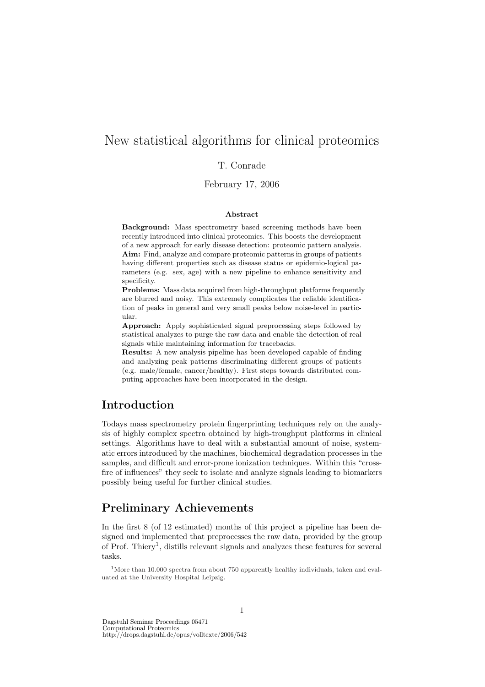# New statistical algorithms for clinical proteomics

### T. Conrade

### February 17, 2006

#### Abstract

Background: Mass spectrometry based screening methods have been recently introduced into clinical proteomics. This boosts the development of a new approach for early disease detection: proteomic pattern analysis. Aim: Find, analyze and compare proteomic patterns in groups of patients having different properties such as disease status or epidemio-logical parameters (e.g. sex, age) with a new pipeline to enhance sensitivity and specificity.

Problems: Mass data acquired from high-throughput platforms frequently are blurred and noisy. This extremely complicates the reliable identification of peaks in general and very small peaks below noise-level in particular.

Approach: Apply sophisticated signal preprocessing steps followed by statistical analyzes to purge the raw data and enable the detection of real signals while maintaining information for tracebacks.

Results: A new analysis pipeline has been developed capable of finding and analyzing peak patterns discriminating different groups of patients (e.g. male/female, cancer/healthy). First steps towards distributed computing approaches have been incorporated in the design.

## Introduction

Todays mass spectrometry protein fingerprinting techniques rely on the analysis of highly complex spectra obtained by high-troughput platforms in clinical settings. Algorithms have to deal with a substantial amount of noise, systematic errors introduced by the machines, biochemical degradation processes in the samples, and difficult and error-prone ionization techniques. Within this "crossfire of influences" they seek to isolate and analyze signals leading to biomarkers possibly being useful for further clinical studies.

## Preliminary Achievements

In the first 8 (of 12 estimated) months of this project a pipeline has been designed and implemented that preprocesses the raw data, provided by the group of Prof. Thiery<sup>1</sup>, distills relevant signals and analyzes these features for several tasks.

Dagstuhl Seminar Proceedings 05471

Computational Proteomics http://drops.dagstuhl.de/opus/volltexte/2006/542

<sup>&</sup>lt;sup>1</sup>More than 10.000 spectra from about 750 apparently healthy individuals, taken and evaluated at the University Hospital Leipzig.